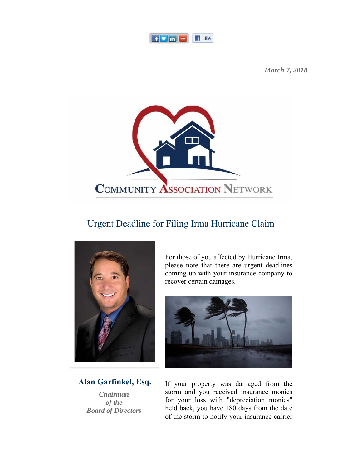

*March 7, 2018*



## Urgent Deadline for Filing Irma Hurricane Claim



**Alan Garfinkel, Esq.**

*Chairman of the Board of Directors* For those of you affected by Hurricane Irma, please note that there are urgent deadlines coming up with your insurance company to recover certain damages.



If your property was damaged from the storm and you received insurance monies for your loss with "depreciation monies" held back, you have 180 days from the date of the storm to notify your insurance carrier